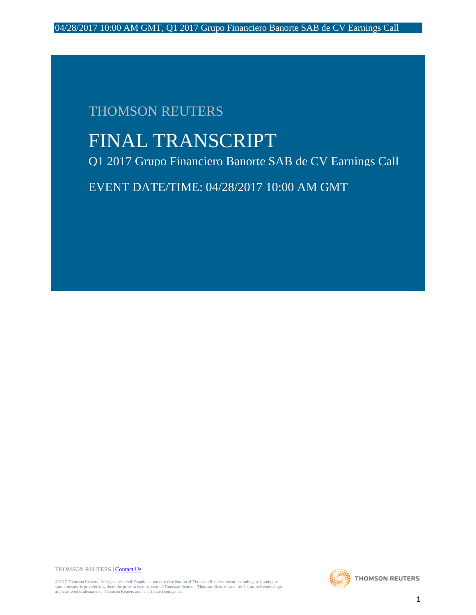# THOMSON REUTERS

# FINAL TRANSCRIPT

Q1 2017 Grupo Financiero Banorte SAB de CV Earnings Call

EVENT DATE/TIME: 04/28/2017 10:00 AM GMT

THOMSON REUTERS [| Contact Us](http://financial.thomsonreuters.com/en/contact-us.html)

©2017 Thomson Reuters. All rights reserved. Republication or redistribution of Thomson Reuterscontent, including by framing or<br>similarmeans, is prohibited without the prior written consent of Thomson Reuters. Thomson Reute

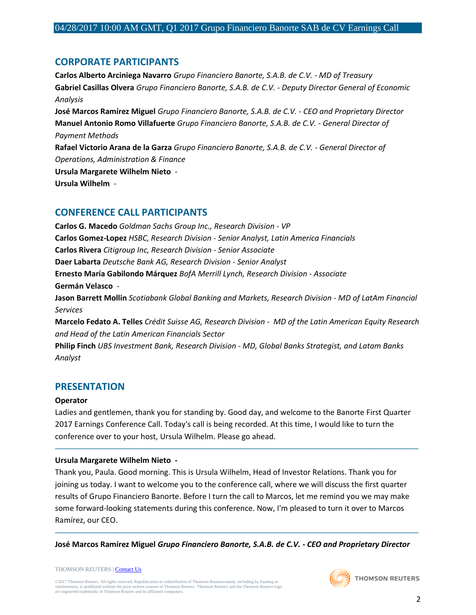# **CORPORATE PARTICIPANTS**

**Carlos Alberto Arciniega Navarro** *Grupo Financiero Banorte, S.A.B. de C.V. - MD of Treasury* **Gabriel Casillas Olvera** *Grupo Financiero Banorte, S.A.B. de C.V. - Deputy Director General of Economic Analysis* **José Marcos Ramírez Miguel** *Grupo Financiero Banorte, S.A.B. de C.V. - CEO and Proprietary Director* **Manuel Antonio Romo Villafuerte** *Grupo Financiero Banorte, S.A.B. de C.V. - General Director of Payment Methods* **Rafael Victorio Arana de la Garza** *Grupo Financiero Banorte, S.A.B. de C.V. - General Director of Operations, Administration & Finance* **Ursula Margarete Wilhelm Nieto** *-* **Ursula Wilhelm** *-*

# **CONFERENCE CALL PARTICIPANTS**

**Carlos G. Macedo** *Goldman Sachs Group Inc., Research Division - VP* **Carlos Gomez-Lopez** *HSBC, Research Division - Senior Analyst, Latin America Financials* **Carlos Rivera** *Citigroup Inc, Research Division - Senior Associate* **Daer Labarta** *Deutsche Bank AG, Research Division - Senior Analyst* **Ernesto María Gabilondo Márquez** *BofA Merrill Lynch, Research Division - Associate* **Germán Velasco** *-* **Jason Barrett Mollin** *Scotiabank Global Banking and Markets, Research Division - MD of LatAm Financial Services* **Marcelo Fedato A. Telles** *Crédit Suisse AG, Research Division - MD of the Latin American Equity Research and Head of the Latin American Financials Sector* **Philip Finch** *UBS Investment Bank, Research Division - MD, Global Banks Strategist, and Latam Banks* 

*Analyst*

# **PRESENTATION**

#### **Operator**

Ladies and gentlemen, thank you for standing by. Good day, and welcome to the Banorte First Quarter 2017 Earnings Conference Call. Today's call is being recorded. At this time, I would like to turn the conference over to your host, Ursula Wilhelm. Please go ahead.

─────────────────────────────────────────────────────────────────────────────────────

## **Ursula Margarete Wilhelm Nieto** *-*

Thank you, Paula. Good morning. This is Ursula Wilhelm, Head of Investor Relations. Thank you for joining us today. I want to welcome you to the conference call, where we will discuss the first quarter results of Grupo Financiero Banorte. Before I turn the call to Marcos, let me remind you we may make some forward-looking statements during this conference. Now, I'm pleased to turn it over to Marcos Ramírez, our CEO.

───────────────────────────────────────────────────────────────────────────────────── **José Marcos Ramírez Miguel** *Grupo Financiero Banorte, S.A.B. de C.V. - CEO and Proprietary Director*

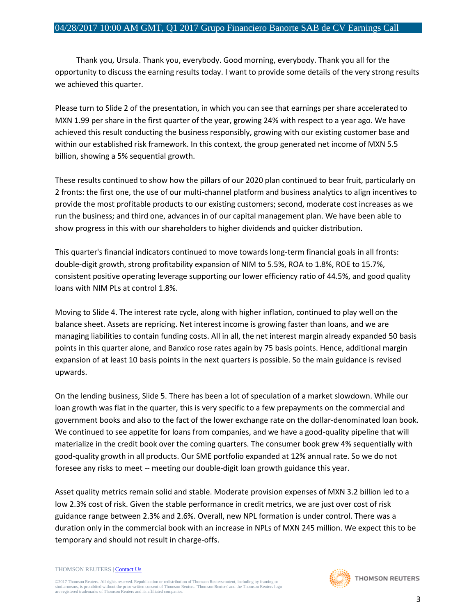Thank you, Ursula. Thank you, everybody. Good morning, everybody. Thank you all for the opportunity to discuss the earning results today. I want to provide some details of the very strong results we achieved this quarter.

Please turn to Slide 2 of the presentation, in which you can see that earnings per share accelerated to MXN 1.99 per share in the first quarter of the year, growing 24% with respect to a year ago. We have achieved this result conducting the business responsibly, growing with our existing customer base and within our established risk framework. In this context, the group generated net income of MXN 5.5 billion, showing a 5% sequential growth.

These results continued to show how the pillars of our 2020 plan continued to bear fruit, particularly on 2 fronts: the first one, the use of our multi-channel platform and business analytics to align incentives to provide the most profitable products to our existing customers; second, moderate cost increases as we run the business; and third one, advances in of our capital management plan. We have been able to show progress in this with our shareholders to higher dividends and quicker distribution.

This quarter's financial indicators continued to move towards long-term financial goals in all fronts: double-digit growth, strong profitability expansion of NIM to 5.5%, ROA to 1.8%, ROE to 15.7%, consistent positive operating leverage supporting our lower efficiency ratio of 44.5%, and good quality loans with NIM PLs at control 1.8%.

Moving to Slide 4. The interest rate cycle, along with higher inflation, continued to play well on the balance sheet. Assets are repricing. Net interest income is growing faster than loans, and we are managing liabilities to contain funding costs. All in all, the net interest margin already expanded 50 basis points in this quarter alone, and Banxico rose rates again by 75 basis points. Hence, additional margin expansion of at least 10 basis points in the next quarters is possible. So the main guidance is revised upwards.

On the lending business, Slide 5. There has been a lot of speculation of a market slowdown. While our loan growth was flat in the quarter, this is very specific to a few prepayments on the commercial and government books and also to the fact of the lower exchange rate on the dollar-denominated loan book. We continued to see appetite for loans from companies, and we have a good-quality pipeline that will materialize in the credit book over the coming quarters. The consumer book grew 4% sequentially with good-quality growth in all products. Our SME portfolio expanded at 12% annual rate. So we do not foresee any risks to meet -- meeting our double-digit loan growth guidance this year.

Asset quality metrics remain solid and stable. Moderate provision expenses of MXN 3.2 billion led to a low 2.3% cost of risk. Given the stable performance in credit metrics, we are just over cost of risk guidance range between 2.3% and 2.6%. Overall, new NPL formation is under control. There was a duration only in the commercial book with an increase in NPLs of MXN 245 million. We expect this to be temporary and should not result in charge-offs.

THOMSON REUTERS [| Contact Us](http://financial.thomsonreuters.com/en/contact-us.html)

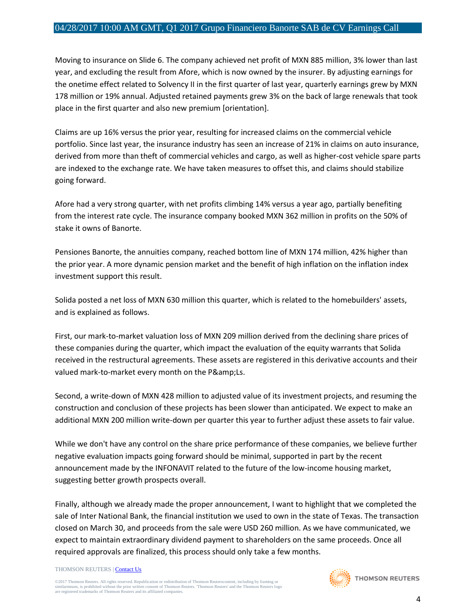Moving to insurance on Slide 6. The company achieved net profit of MXN 885 million, 3% lower than last year, and excluding the result from Afore, which is now owned by the insurer. By adjusting earnings for the onetime effect related to Solvency II in the first quarter of last year, quarterly earnings grew by MXN 178 million or 19% annual. Adjusted retained payments grew 3% on the back of large renewals that took place in the first quarter and also new premium [orientation].

Claims are up 16% versus the prior year, resulting for increased claims on the commercial vehicle portfolio. Since last year, the insurance industry has seen an increase of 21% in claims on auto insurance, derived from more than theft of commercial vehicles and cargo, as well as higher-cost vehicle spare parts are indexed to the exchange rate. We have taken measures to offset this, and claims should stabilize going forward.

Afore had a very strong quarter, with net profits climbing 14% versus a year ago, partially benefiting from the interest rate cycle. The insurance company booked MXN 362 million in profits on the 50% of stake it owns of Banorte.

Pensiones Banorte, the annuities company, reached bottom line of MXN 174 million, 42% higher than the prior year. A more dynamic pension market and the benefit of high inflation on the inflation index investment support this result.

Solida posted a net loss of MXN 630 million this quarter, which is related to the homebuilders' assets, and is explained as follows.

First, our mark-to-market valuation loss of MXN 209 million derived from the declining share prices of these companies during the quarter, which impact the evaluation of the equity warrants that Solida received in the restructural agreements. These assets are registered in this derivative accounts and their valued mark-to-market every month on the P&Ls.

Second, a write-down of MXN 428 million to adjusted value of its investment projects, and resuming the construction and conclusion of these projects has been slower than anticipated. We expect to make an additional MXN 200 million write-down per quarter this year to further adjust these assets to fair value.

While we don't have any control on the share price performance of these companies, we believe further negative evaluation impacts going forward should be minimal, supported in part by the recent announcement made by the INFONAVIT related to the future of the low-income housing market, suggesting better growth prospects overall.

Finally, although we already made the proper announcement, I want to highlight that we completed the sale of Inter National Bank, the financial institution we used to own in the state of Texas. The transaction closed on March 30, and proceeds from the sale were USD 260 million. As we have communicated, we expect to maintain extraordinary dividend payment to shareholders on the same proceeds. Once all required approvals are finalized, this process should only take a few months.

#### THOMSON REUTERS [| Contact Us](http://financial.thomsonreuters.com/en/contact-us.html)

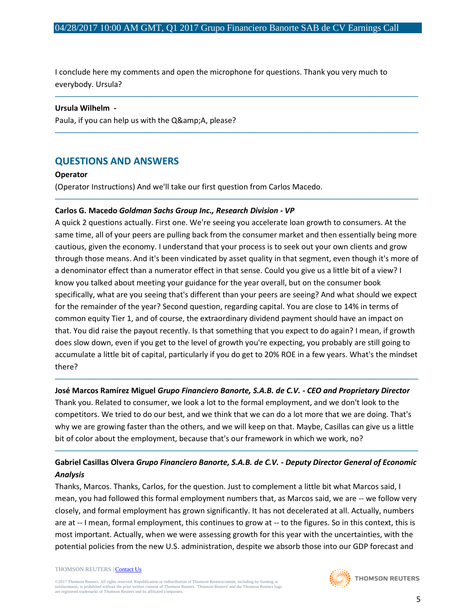I conclude here my comments and open the microphone for questions. Thank you very much to everybody. Ursula?

─────────────────────────────────────────────────────────────────────────────────────

─────────────────────────────────────────────────────────────────────────────────────

─────────────────────────────────────────────────────────────────────────────────────

#### **Ursula Wilhelm** *-*

Paula, if you can help us with the Q& A, please?

# **QUESTIONS AND ANSWERS**

#### **Operator**

(Operator Instructions) And we'll take our first question from Carlos Macedo.

## **Carlos G. Macedo** *Goldman Sachs Group Inc., Research Division - VP*

A quick 2 questions actually. First one. We're seeing you accelerate loan growth to consumers. At the same time, all of your peers are pulling back from the consumer market and then essentially being more cautious, given the economy. I understand that your process is to seek out your own clients and grow through those means. And it's been vindicated by asset quality in that segment, even though it's more of a denominator effect than a numerator effect in that sense. Could you give us a little bit of a view? I know you talked about meeting your guidance for the year overall, but on the consumer book specifically, what are you seeing that's different than your peers are seeing? And what should we expect for the remainder of the year? Second question, regarding capital. You are close to 14% in terms of common equity Tier 1, and of course, the extraordinary dividend payment should have an impact on that. You did raise the payout recently. Is that something that you expect to do again? I mean, if growth does slow down, even if you get to the level of growth you're expecting, you probably are still going to accumulate a little bit of capital, particularly if you do get to 20% ROE in a few years. What's the mindset there?

## ───────────────────────────────────────────────────────────────────────────────────── **José Marcos Ramírez Miguel** *Grupo Financiero Banorte, S.A.B. de C.V. - CEO and Proprietary Director*

Thank you. Related to consumer, we look a lot to the formal employment, and we don't look to the competitors. We tried to do our best, and we think that we can do a lot more that we are doing. That's why we are growing faster than the others, and we will keep on that. Maybe, Casillas can give us a little bit of color about the employment, because that's our framework in which we work, no?

# **Gabriel Casillas Olvera** *Grupo Financiero Banorte, S.A.B. de C.V. - Deputy Director General of Economic Analysis*

─────────────────────────────────────────────────────────────────────────────────────

Thanks, Marcos. Thanks, Carlos, for the question. Just to complement a little bit what Marcos said, I mean, you had followed this formal employment numbers that, as Marcos said, we are -- we follow very closely, and formal employment has grown significantly. It has not decelerated at all. Actually, numbers are at -- I mean, formal employment, this continues to grow at -- to the figures. So in this context, this is most important. Actually, when we were assessing growth for this year with the uncertainties, with the potential policies from the new U.S. administration, despite we absorb those into our GDP forecast and

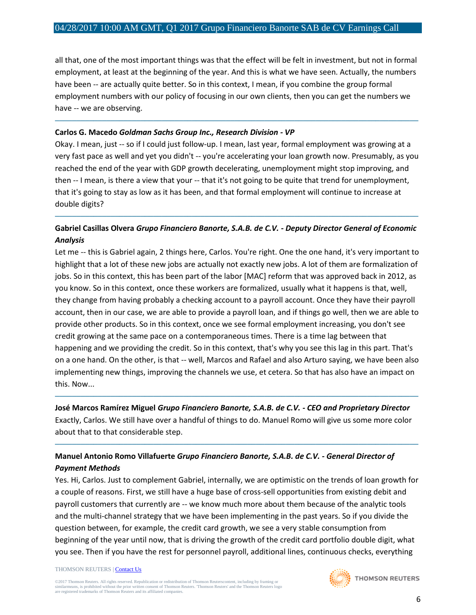all that, one of the most important things was that the effect will be felt in investment, but not in formal employment, at least at the beginning of the year. And this is what we have seen. Actually, the numbers have been -- are actually quite better. So in this context, I mean, if you combine the group formal employment numbers with our policy of focusing in our own clients, then you can get the numbers we have -- we are observing.

─────────────────────────────────────────────────────────────────────────────────────

## **Carlos G. Macedo** *Goldman Sachs Group Inc., Research Division - VP*

Okay. I mean, just -- so if I could just follow-up. I mean, last year, formal employment was growing at a very fast pace as well and yet you didn't -- you're accelerating your loan growth now. Presumably, as you reached the end of the year with GDP growth decelerating, unemployment might stop improving, and then -- I mean, is there a view that your -- that it's not going to be quite that trend for unemployment, that it's going to stay as low as it has been, and that formal employment will continue to increase at double digits?

## **Gabriel Casillas Olvera** *Grupo Financiero Banorte, S.A.B. de C.V. - Deputy Director General of Economic Analysis*

─────────────────────────────────────────────────────────────────────────────────────

Let me -- this is Gabriel again, 2 things here, Carlos. You're right. One the one hand, it's very important to highlight that a lot of these new jobs are actually not exactly new jobs. A lot of them are formalization of jobs. So in this context, this has been part of the labor [MAC] reform that was approved back in 2012, as you know. So in this context, once these workers are formalized, usually what it happens is that, well, they change from having probably a checking account to a payroll account. Once they have their payroll account, then in our case, we are able to provide a payroll loan, and if things go well, then we are able to provide other products. So in this context, once we see formal employment increasing, you don't see credit growing at the same pace on a contemporaneous times. There is a time lag between that happening and we providing the credit. So in this context, that's why you see this lag in this part. That's on a one hand. On the other, is that -- well, Marcos and Rafael and also Arturo saying, we have been also implementing new things, improving the channels we use, et cetera. So that has also have an impact on this. Now...

## ───────────────────────────────────────────────────────────────────────────────────── **José Marcos Ramírez Miguel** *Grupo Financiero Banorte, S.A.B. de C.V. - CEO and Proprietary Director*

Exactly, Carlos. We still have over a handful of things to do. Manuel Romo will give us some more color about that to that considerable step.

─────────────────────────────────────────────────────────────────────────────────────

## **Manuel Antonio Romo Villafuerte** *Grupo Financiero Banorte, S.A.B. de C.V. - General Director of Payment Methods*

Yes. Hi, Carlos. Just to complement Gabriel, internally, we are optimistic on the trends of loan growth for a couple of reasons. First, we still have a huge base of cross-sell opportunities from existing debit and payroll customers that currently are -- we know much more about them because of the analytic tools and the multi-channel strategy that we have been implementing in the past years. So if you divide the question between, for example, the credit card growth, we see a very stable consumption from beginning of the year until now, that is driving the growth of the credit card portfolio double digit, what you see. Then if you have the rest for personnel payroll, additional lines, continuous checks, everything

#### THOMSON REUTERS [| Contact Us](http://financial.thomsonreuters.com/en/contact-us.html)

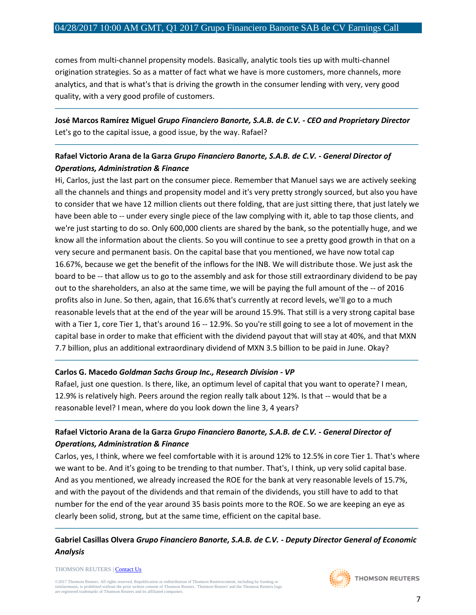comes from multi-channel propensity models. Basically, analytic tools ties up with multi-channel origination strategies. So as a matter of fact what we have is more customers, more channels, more analytics, and that is what's that is driving the growth in the consumer lending with very, very good quality, with a very good profile of customers.

## **José Marcos Ramírez Miguel** *Grupo Financiero Banorte, S.A.B. de C.V. - CEO and Proprietary Director* Let's go to the capital issue, a good issue, by the way. Rafael?

─────────────────────────────────────────────────────────────────────────────────────

─────────────────────────────────────────────────────────────────────────────────────

## **Rafael Victorio Arana de la Garza** *Grupo Financiero Banorte, S.A.B. de C.V. - General Director of Operations, Administration & Finance*

Hi, Carlos, just the last part on the consumer piece. Remember that Manuel says we are actively seeking all the channels and things and propensity model and it's very pretty strongly sourced, but also you have to consider that we have 12 million clients out there folding, that are just sitting there, that just lately we have been able to -- under every single piece of the law complying with it, able to tap those clients, and we're just starting to do so. Only 600,000 clients are shared by the bank, so the potentially huge, and we know all the information about the clients. So you will continue to see a pretty good growth in that on a very secure and permanent basis. On the capital base that you mentioned, we have now total cap 16.67%, because we get the benefit of the inflows for the INB. We will distribute those. We just ask the board to be -- that allow us to go to the assembly and ask for those still extraordinary dividend to be pay out to the shareholders, an also at the same time, we will be paying the full amount of the -- of 2016 profits also in June. So then, again, that 16.6% that's currently at record levels, we'll go to a much reasonable levels that at the end of the year will be around 15.9%. That still is a very strong capital base with a Tier 1, core Tier 1, that's around 16 -- 12.9%. So you're still going to see a lot of movement in the capital base in order to make that efficient with the dividend payout that will stay at 40%, and that MXN 7.7 billion, plus an additional extraordinary dividend of MXN 3.5 billion to be paid in June. Okay?

#### **Carlos G. Macedo** *Goldman Sachs Group Inc., Research Division - VP*

Rafael, just one question. Is there, like, an optimum level of capital that you want to operate? I mean, 12.9% is relatively high. Peers around the region really talk about 12%. Is that -- would that be a reasonable level? I mean, where do you look down the line 3, 4 years?

─────────────────────────────────────────────────────────────────────────────────────

─────────────────────────────────────────────────────────────────────────────────────

## **Rafael Victorio Arana de la Garza** *Grupo Financiero Banorte, S.A.B. de C.V. - General Director of Operations, Administration & Finance*

Carlos, yes, I think, where we feel comfortable with it is around 12% to 12.5% in core Tier 1. That's where we want to be. And it's going to be trending to that number. That's, I think, up very solid capital base. And as you mentioned, we already increased the ROE for the bank at very reasonable levels of 15.7%, and with the payout of the dividends and that remain of the dividends, you still have to add to that number for the end of the year around 35 basis points more to the ROE. So we are keeping an eye as clearly been solid, strong, but at the same time, efficient on the capital base.

# **Gabriel Casillas Olvera** *Grupo Financiero Banorte, S.A.B. de C.V. - Deputy Director General of Economic Analysis*

─────────────────────────────────────────────────────────────────────────────────────

THOMSON REUTERS [| Contact Us](http://financial.thomsonreuters.com/en/contact-us.html)

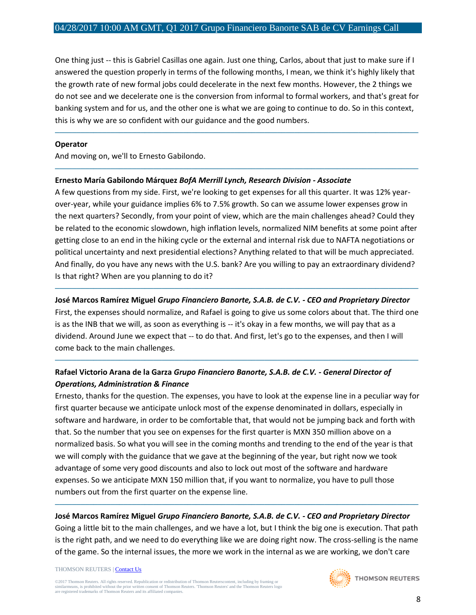One thing just -- this is Gabriel Casillas one again. Just one thing, Carlos, about that just to make sure if I answered the question properly in terms of the following months, I mean, we think it's highly likely that the growth rate of new formal jobs could decelerate in the next few months. However, the 2 things we do not see and we decelerate one is the conversion from informal to formal workers, and that's great for banking system and for us, and the other one is what we are going to continue to do. So in this context, this is why we are so confident with our guidance and the good numbers.

─────────────────────────────────────────────────────────────────────────────────────

─────────────────────────────────────────────────────────────────────────────────────

#### **Operator**

And moving on, we'll to Ernesto Gabilondo.

#### **Ernesto María Gabilondo Márquez** *BofA Merrill Lynch, Research Division - Associate*

A few questions from my side. First, we're looking to get expenses for all this quarter. It was 12% yearover-year, while your guidance implies 6% to 7.5% growth. So can we assume lower expenses grow in the next quarters? Secondly, from your point of view, which are the main challenges ahead? Could they be related to the economic slowdown, high inflation levels, normalized NIM benefits at some point after getting close to an end in the hiking cycle or the external and internal risk due to NAFTA negotiations or political uncertainty and next presidential elections? Anything related to that will be much appreciated. And finally, do you have any news with the U.S. bank? Are you willing to pay an extraordinary dividend? Is that right? When are you planning to do it?

## ───────────────────────────────────────────────────────────────────────────────────── **José Marcos Ramírez Miguel** *Grupo Financiero Banorte, S.A.B. de C.V. - CEO and Proprietary Director*

First, the expenses should normalize, and Rafael is going to give us some colors about that. The third one is as the INB that we will, as soon as everything is -- it's okay in a few months, we will pay that as a dividend. Around June we expect that -- to do that. And first, let's go to the expenses, and then I will come back to the main challenges.

─────────────────────────────────────────────────────────────────────────────────────

## **Rafael Victorio Arana de la Garza** *Grupo Financiero Banorte, S.A.B. de C.V. - General Director of Operations, Administration & Finance*

Ernesto, thanks for the question. The expenses, you have to look at the expense line in a peculiar way for first quarter because we anticipate unlock most of the expense denominated in dollars, especially in software and hardware, in order to be comfortable that, that would not be jumping back and forth with that. So the number that you see on expenses for the first quarter is MXN 350 million above on a normalized basis. So what you will see in the coming months and trending to the end of the year is that we will comply with the guidance that we gave at the beginning of the year, but right now we took advantage of some very good discounts and also to lock out most of the software and hardware expenses. So we anticipate MXN 150 million that, if you want to normalize, you have to pull those numbers out from the first quarter on the expense line.

## ───────────────────────────────────────────────────────────────────────────────────── **José Marcos Ramírez Miguel** *Grupo Financiero Banorte, S.A.B. de C.V. - CEO and Proprietary Director*

Going a little bit to the main challenges, and we have a lot, but I think the big one is execution. That path is the right path, and we need to do everything like we are doing right now. The cross-selling is the name of the game. So the internal issues, the more we work in the internal as we are working, we don't care

#### THOMSON REUTERS [| Contact Us](http://financial.thomsonreuters.com/en/contact-us.html)

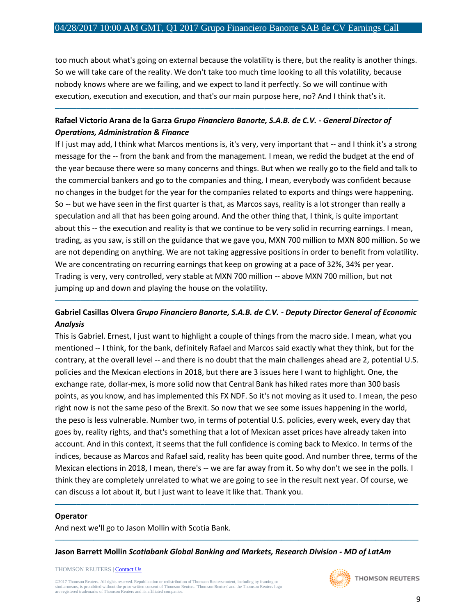too much about what's going on external because the volatility is there, but the reality is another things. So we will take care of the reality. We don't take too much time looking to all this volatility, because nobody knows where are we failing, and we expect to land it perfectly. So we will continue with execution, execution and execution, and that's our main purpose here, no? And I think that's it.

─────────────────────────────────────────────────────────────────────────────────────

## **Rafael Victorio Arana de la Garza** *Grupo Financiero Banorte, S.A.B. de C.V. - General Director of Operations, Administration & Finance*

If I just may add, I think what Marcos mentions is, it's very, very important that -- and I think it's a strong message for the -- from the bank and from the management. I mean, we redid the budget at the end of the year because there were so many concerns and things. But when we really go to the field and talk to the commercial bankers and go to the companies and thing, I mean, everybody was confident because no changes in the budget for the year for the companies related to exports and things were happening. So -- but we have seen in the first quarter is that, as Marcos says, reality is a lot stronger than really a speculation and all that has been going around. And the other thing that, I think, is quite important about this -- the execution and reality is that we continue to be very solid in recurring earnings. I mean, trading, as you saw, is still on the guidance that we gave you, MXN 700 million to MXN 800 million. So we are not depending on anything. We are not taking aggressive positions in order to benefit from volatility. We are concentrating on recurring earnings that keep on growing at a pace of 32%, 34% per year. Trading is very, very controlled, very stable at MXN 700 million -- above MXN 700 million, but not jumping up and down and playing the house on the volatility.

## **Gabriel Casillas Olvera** *Grupo Financiero Banorte, S.A.B. de C.V. - Deputy Director General of Economic Analysis*

─────────────────────────────────────────────────────────────────────────────────────

This is Gabriel. Ernest, I just want to highlight a couple of things from the macro side. I mean, what you mentioned -- I think, for the bank, definitely Rafael and Marcos said exactly what they think, but for the contrary, at the overall level -- and there is no doubt that the main challenges ahead are 2, potential U.S. policies and the Mexican elections in 2018, but there are 3 issues here I want to highlight. One, the exchange rate, dollar-mex, is more solid now that Central Bank has hiked rates more than 300 basis points, as you know, and has implemented this FX NDF. So it's not moving as it used to. I mean, the peso right now is not the same peso of the Brexit. So now that we see some issues happening in the world, the peso is less vulnerable. Number two, in terms of potential U.S. policies, every week, every day that goes by, reality rights, and that's something that a lot of Mexican asset prices have already taken into account. And in this context, it seems that the full confidence is coming back to Mexico. In terms of the indices, because as Marcos and Rafael said, reality has been quite good. And number three, terms of the Mexican elections in 2018, I mean, there's -- we are far away from it. So why don't we see in the polls. I think they are completely unrelated to what we are going to see in the result next year. Of course, we can discuss a lot about it, but I just want to leave it like that. Thank you.

─────────────────────────────────────────────────────────────────────────────────────

─────────────────────────────────────────────────────────────────────────────────────

#### **Operator**

And next we'll go to Jason Mollin with Scotia Bank.

**Jason Barrett Mollin** *Scotiabank Global Banking and Markets, Research Division - MD of LatAm* 

THOMSON REUTERS [| Contact Us](http://financial.thomsonreuters.com/en/contact-us.html)

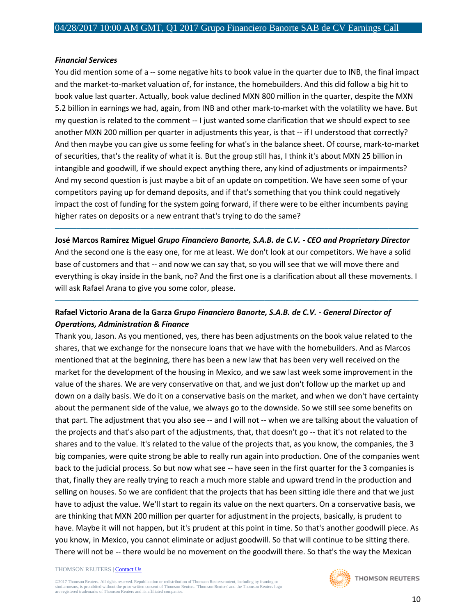#### *Financial Services*

You did mention some of a -- some negative hits to book value in the quarter due to INB, the final impact and the market-to-market valuation of, for instance, the homebuilders. And this did follow a big hit to book value last quarter. Actually, book value declined MXN 800 million in the quarter, despite the MXN 5.2 billion in earnings we had, again, from INB and other mark-to-market with the volatility we have. But my question is related to the comment -- I just wanted some clarification that we should expect to see another MXN 200 million per quarter in adjustments this year, is that -- if I understood that correctly? And then maybe you can give us some feeling for what's in the balance sheet. Of course, mark-to-market of securities, that's the reality of what it is. But the group still has, I think it's about MXN 25 billion in intangible and goodwill, if we should expect anything there, any kind of adjustments or impairments? And my second question is just maybe a bit of an update on competition. We have seen some of your competitors paying up for demand deposits, and if that's something that you think could negatively impact the cost of funding for the system going forward, if there were to be either incumbents paying higher rates on deposits or a new entrant that's trying to do the same?

## ───────────────────────────────────────────────────────────────────────────────────── **José Marcos Ramírez Miguel** *Grupo Financiero Banorte, S.A.B. de C.V. - CEO and Proprietary Director*

And the second one is the easy one, for me at least. We don't look at our competitors. We have a solid base of customers and that -- and now we can say that, so you will see that we will move there and everything is okay inside in the bank, no? And the first one is a clarification about all these movements. I will ask Rafael Arana to give you some color, please.

─────────────────────────────────────────────────────────────────────────────────────

## **Rafael Victorio Arana de la Garza** *Grupo Financiero Banorte, S.A.B. de C.V. - General Director of Operations, Administration & Finance*

Thank you, Jason. As you mentioned, yes, there has been adjustments on the book value related to the shares, that we exchange for the nonsecure loans that we have with the homebuilders. And as Marcos mentioned that at the beginning, there has been a new law that has been very well received on the market for the development of the housing in Mexico, and we saw last week some improvement in the value of the shares. We are very conservative on that, and we just don't follow up the market up and down on a daily basis. We do it on a conservative basis on the market, and when we don't have certainty about the permanent side of the value, we always go to the downside. So we still see some benefits on that part. The adjustment that you also see -- and I will not -- when we are talking about the valuation of the projects and that's also part of the adjustments, that, that doesn't go -- that it's not related to the shares and to the value. It's related to the value of the projects that, as you know, the companies, the 3 big companies, were quite strong be able to really run again into production. One of the companies went back to the judicial process. So but now what see -- have seen in the first quarter for the 3 companies is that, finally they are really trying to reach a much more stable and upward trend in the production and selling on houses. So we are confident that the projects that has been sitting idle there and that we just have to adjust the value. We'll start to regain its value on the next quarters. On a conservative basis, we are thinking that MXN 200 million per quarter for adjustment in the projects, basically, is prudent to have. Maybe it will not happen, but it's prudent at this point in time. So that's another goodwill piece. As you know, in Mexico, you cannot eliminate or adjust goodwill. So that will continue to be sitting there. There will not be -- there would be no movement on the goodwill there. So that's the way the Mexican

#### THOMSON REUTERS [| Contact Us](http://financial.thomsonreuters.com/en/contact-us.html)

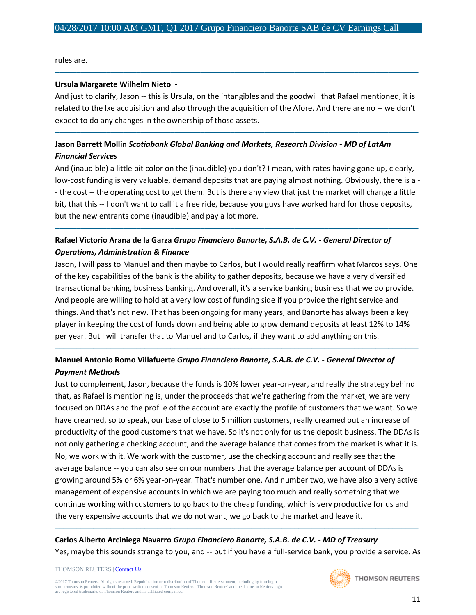rules are.

#### **Ursula Margarete Wilhelm Nieto** *-*

And just to clarify, Jason -- this is Ursula, on the intangibles and the goodwill that Rafael mentioned, it is related to the Ixe acquisition and also through the acquisition of the Afore. And there are no -- we don't expect to do any changes in the ownership of those assets.

─────────────────────────────────────────────────────────────────────────────────────

─────────────────────────────────────────────────────────────────────────────────────

## **Jason Barrett Mollin** *Scotiabank Global Banking and Markets, Research Division - MD of LatAm Financial Services*

And (inaudible) a little bit color on the (inaudible) you don't? I mean, with rates having gone up, clearly, low-cost funding is very valuable, demand deposits that are paying almost nothing. Obviously, there is a - - the cost -- the operating cost to get them. But is there any view that just the market will change a little bit, that this -- I don't want to call it a free ride, because you guys have worked hard for those deposits, but the new entrants come (inaudible) and pay a lot more.

─────────────────────────────────────────────────────────────────────────────────────

## **Rafael Victorio Arana de la Garza** *Grupo Financiero Banorte, S.A.B. de C.V. - General Director of Operations, Administration & Finance*

Jason, I will pass to Manuel and then maybe to Carlos, but I would really reaffirm what Marcos says. One of the key capabilities of the bank is the ability to gather deposits, because we have a very diversified transactional banking, business banking. And overall, it's a service banking business that we do provide. And people are willing to hold at a very low cost of funding side if you provide the right service and things. And that's not new. That has been ongoing for many years, and Banorte has always been a key player in keeping the cost of funds down and being able to grow demand deposits at least 12% to 14% per year. But I will transfer that to Manuel and to Carlos, if they want to add anything on this.

─────────────────────────────────────────────────────────────────────────────────────

# **Manuel Antonio Romo Villafuerte** *Grupo Financiero Banorte, S.A.B. de C.V. - General Director of Payment Methods*

Just to complement, Jason, because the funds is 10% lower year-on-year, and really the strategy behind that, as Rafael is mentioning is, under the proceeds that we're gathering from the market, we are very focused on DDAs and the profile of the account are exactly the profile of customers that we want. So we have creamed, so to speak, our base of close to 5 million customers, really creamed out an increase of productivity of the good customers that we have. So it's not only for us the deposit business. The DDAs is not only gathering a checking account, and the average balance that comes from the market is what it is. No, we work with it. We work with the customer, use the checking account and really see that the average balance -- you can also see on our numbers that the average balance per account of DDAs is growing around 5% or 6% year-on-year. That's number one. And number two, we have also a very active management of expensive accounts in which we are paying too much and really something that we continue working with customers to go back to the cheap funding, which is very productive for us and the very expensive accounts that we do not want, we go back to the market and leave it.

## **Carlos Alberto Arciniega Navarro** *Grupo Financiero Banorte, S.A.B. de C.V. - MD of Treasury* Yes, maybe this sounds strange to you, and -- but if you have a full-service bank, you provide a service. As

─────────────────────────────────────────────────────────────────────────────────────

#### THOMSON REUTERS [| Contact Us](http://financial.thomsonreuters.com/en/contact-us.html)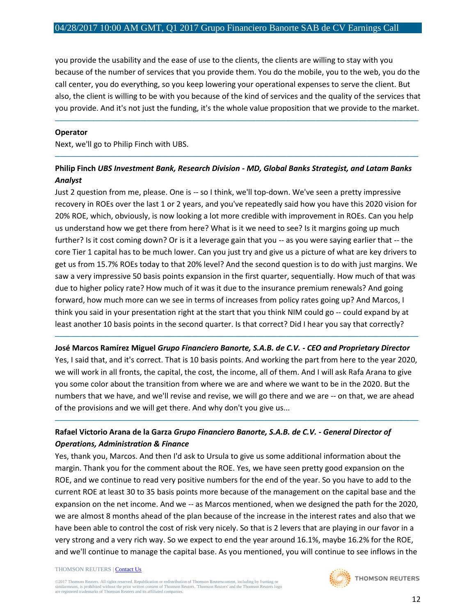you provide the usability and the ease of use to the clients, the clients are willing to stay with you because of the number of services that you provide them. You do the mobile, you to the web, you do the call center, you do everything, so you keep lowering your operational expenses to serve the client. But also, the client is willing to be with you because of the kind of services and the quality of the services that you provide. And it's not just the funding, it's the whole value proposition that we provide to the market.

─────────────────────────────────────────────────────────────────────────────────────

#### **Operator**

Next, we'll go to Philip Finch with UBS.

## **Philip Finch** *UBS Investment Bank, Research Division - MD, Global Banks Strategist, and Latam Banks Analyst*

─────────────────────────────────────────────────────────────────────────────────────

Just 2 question from me, please. One is -- so I think, we'll top-down. We've seen a pretty impressive recovery in ROEs over the last 1 or 2 years, and you've repeatedly said how you have this 2020 vision for 20% ROE, which, obviously, is now looking a lot more credible with improvement in ROEs. Can you help us understand how we get there from here? What is it we need to see? Is it margins going up much further? Is it cost coming down? Or is it a leverage gain that you -- as you were saying earlier that -- the core Tier 1 capital has to be much lower. Can you just try and give us a picture of what are key drivers to get us from 15.7% ROEs today to that 20% level? And the second question is to do with just margins. We saw a very impressive 50 basis points expansion in the first quarter, sequentially. How much of that was due to higher policy rate? How much of it was it due to the insurance premium renewals? And going forward, how much more can we see in terms of increases from policy rates going up? And Marcos, I think you said in your presentation right at the start that you think NIM could go -- could expand by at least another 10 basis points in the second quarter. Is that correct? Did I hear you say that correctly?

## ───────────────────────────────────────────────────────────────────────────────────── **José Marcos Ramírez Miguel** *Grupo Financiero Banorte, S.A.B. de C.V. - CEO and Proprietary Director*

Yes, I said that, and it's correct. That is 10 basis points. And working the part from here to the year 2020, we will work in all fronts, the capital, the cost, the income, all of them. And I will ask Rafa Arana to give you some color about the transition from where we are and where we want to be in the 2020. But the numbers that we have, and we'll revise and revise, we will go there and we are -- on that, we are ahead of the provisions and we will get there. And why don't you give us...

─────────────────────────────────────────────────────────────────────────────────────

## **Rafael Victorio Arana de la Garza** *Grupo Financiero Banorte, S.A.B. de C.V. - General Director of Operations, Administration & Finance*

Yes, thank you, Marcos. And then I'd ask to Ursula to give us some additional information about the margin. Thank you for the comment about the ROE. Yes, we have seen pretty good expansion on the ROE, and we continue to read very positive numbers for the end of the year. So you have to add to the current ROE at least 30 to 35 basis points more because of the management on the capital base and the expansion on the net income. And we -- as Marcos mentioned, when we designed the path for the 2020, we are almost 8 months ahead of the plan because of the increase in the interest rates and also that we have been able to control the cost of risk very nicely. So that is 2 levers that are playing in our favor in a very strong and a very rich way. So we expect to end the year around 16.1%, maybe 16.2% for the ROE, and we'll continue to manage the capital base. As you mentioned, you will continue to see inflows in the

#### THOMSON REUTERS [| Contact Us](http://financial.thomsonreuters.com/en/contact-us.html)

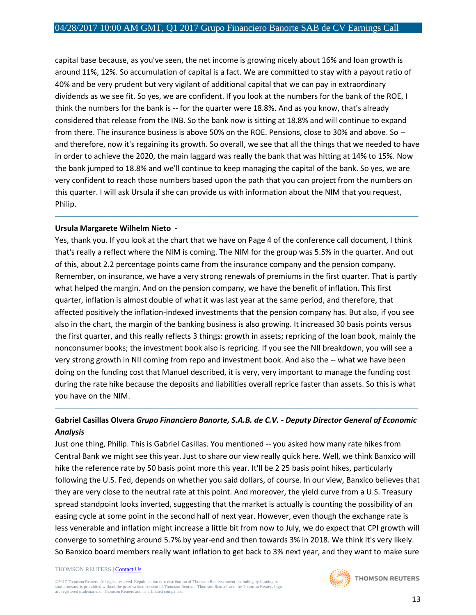capital base because, as you've seen, the net income is growing nicely about 16% and loan growth is around 11%, 12%. So accumulation of capital is a fact. We are committed to stay with a payout ratio of 40% and be very prudent but very vigilant of additional capital that we can pay in extraordinary dividends as we see fit. So yes, we are confident. If you look at the numbers for the bank of the ROE, I think the numbers for the bank is -- for the quarter were 18.8%. And as you know, that's already considered that release from the INB. So the bank now is sitting at 18.8% and will continue to expand from there. The insurance business is above 50% on the ROE. Pensions, close to 30% and above. So - and therefore, now it's regaining its growth. So overall, we see that all the things that we needed to have in order to achieve the 2020, the main laggard was really the bank that was hitting at 14% to 15%. Now the bank jumped to 18.8% and we'll continue to keep managing the capital of the bank. So yes, we are very confident to reach those numbers based upon the path that you can project from the numbers on this quarter. I will ask Ursula if she can provide us with information about the NIM that you request, Philip.

─────────────────────────────────────────────────────────────────────────────────────

#### **Ursula Margarete Wilhelm Nieto** *-*

Yes, thank you. If you look at the chart that we have on Page 4 of the conference call document, I think that's really a reflect where the NIM is coming. The NIM for the group was 5.5% in the quarter. And out of this, about 2.2 percentage points came from the insurance company and the pension company. Remember, on insurance, we have a very strong renewals of premiums in the first quarter. That is partly what helped the margin. And on the pension company, we have the benefit of inflation. This first quarter, inflation is almost double of what it was last year at the same period, and therefore, that affected positively the inflation-indexed investments that the pension company has. But also, if you see also in the chart, the margin of the banking business is also growing. It increased 30 basis points versus the first quarter, and this really reflects 3 things: growth in assets; repricing of the loan book, mainly the nonconsumer books; the investment book also is repricing. If you see the NII breakdown, you will see a very strong growth in NII coming from repo and investment book. And also the -- what we have been doing on the funding cost that Manuel described, it is very, very important to manage the funding cost during the rate hike because the deposits and liabilities overall reprice faster than assets. So this is what you have on the NIM.

## **Gabriel Casillas Olvera** *Grupo Financiero Banorte, S.A.B. de C.V. - Deputy Director General of Economic Analysis*

─────────────────────────────────────────────────────────────────────────────────────

Just one thing, Philip. This is Gabriel Casillas. You mentioned -- you asked how many rate hikes from Central Bank we might see this year. Just to share our view really quick here. Well, we think Banxico will hike the reference rate by 50 basis point more this year. It'll be 2 25 basis point hikes, particularly following the U.S. Fed, depends on whether you said dollars, of course. In our view, Banxico believes that they are very close to the neutral rate at this point. And moreover, the yield curve from a U.S. Treasury spread standpoint looks inverted, suggesting that the market is actually is counting the possibility of an easing cycle at some point in the second half of next year. However, even though the exchange rate is less venerable and inflation might increase a little bit from now to July, we do expect that CPI growth will converge to something around 5.7% by year-end and then towards 3% in 2018. We think it's very likely. So Banxico board members really want inflation to get back to 3% next year, and they want to make sure

#### THOMSON REUTERS [| Contact Us](http://financial.thomsonreuters.com/en/contact-us.html)

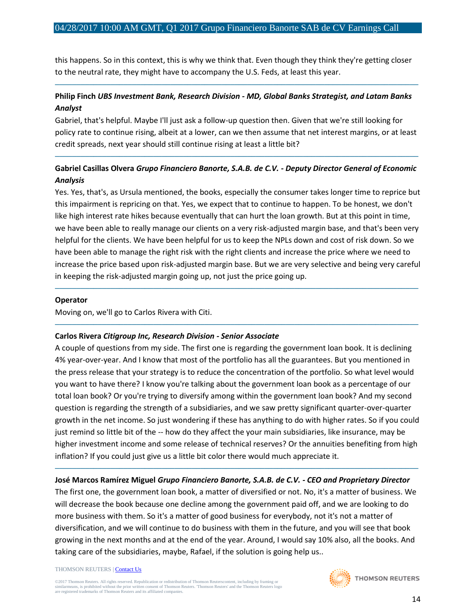this happens. So in this context, this is why we think that. Even though they think they're getting closer to the neutral rate, they might have to accompany the U.S. Feds, at least this year.

# **Philip Finch** *UBS Investment Bank, Research Division - MD, Global Banks Strategist, and Latam Banks Analyst*

─────────────────────────────────────────────────────────────────────────────────────

Gabriel, that's helpful. Maybe I'll just ask a follow-up question then. Given that we're still looking for policy rate to continue rising, albeit at a lower, can we then assume that net interest margins, or at least credit spreads, next year should still continue rising at least a little bit?

## **Gabriel Casillas Olvera** *Grupo Financiero Banorte, S.A.B. de C.V. - Deputy Director General of Economic Analysis*

─────────────────────────────────────────────────────────────────────────────────────

Yes. Yes, that's, as Ursula mentioned, the books, especially the consumer takes longer time to reprice but this impairment is repricing on that. Yes, we expect that to continue to happen. To be honest, we don't like high interest rate hikes because eventually that can hurt the loan growth. But at this point in time, we have been able to really manage our clients on a very risk-adjusted margin base, and that's been very helpful for the clients. We have been helpful for us to keep the NPLs down and cost of risk down. So we have been able to manage the right risk with the right clients and increase the price where we need to increase the price based upon risk-adjusted margin base. But we are very selective and being very careful in keeping the risk-adjusted margin going up, not just the price going up.

─────────────────────────────────────────────────────────────────────────────────────

─────────────────────────────────────────────────────────────────────────────────────

#### **Operator**

Moving on, we'll go to Carlos Rivera with Citi.

## **Carlos Rivera** *Citigroup Inc, Research Division - Senior Associate*

A couple of questions from my side. The first one is regarding the government loan book. It is declining 4% year-over-year. And I know that most of the portfolio has all the guarantees. But you mentioned in the press release that your strategy is to reduce the concentration of the portfolio. So what level would you want to have there? I know you're talking about the government loan book as a percentage of our total loan book? Or you're trying to diversify among within the government loan book? And my second question is regarding the strength of a subsidiaries, and we saw pretty significant quarter-over-quarter growth in the net income. So just wondering if these has anything to do with higher rates. So if you could just remind so little bit of the -- how do they affect the your main subsidiaries, like insurance, may be higher investment income and some release of technical reserves? Or the annuities benefiting from high inflation? If you could just give us a little bit color there would much appreciate it.

## ───────────────────────────────────────────────────────────────────────────────────── **José Marcos Ramírez Miguel** *Grupo Financiero Banorte, S.A.B. de C.V. - CEO and Proprietary Director*

The first one, the government loan book, a matter of diversified or not. No, it's a matter of business. We will decrease the book because one decline among the government paid off, and we are looking to do more business with them. So it's a matter of good business for everybody, not it's not a matter of diversification, and we will continue to do business with them in the future, and you will see that book growing in the next months and at the end of the year. Around, I would say 10% also, all the books. And taking care of the subsidiaries, maybe, Rafael, if the solution is going help us..

#### THOMSON REUTERS [| Contact Us](http://financial.thomsonreuters.com/en/contact-us.html)

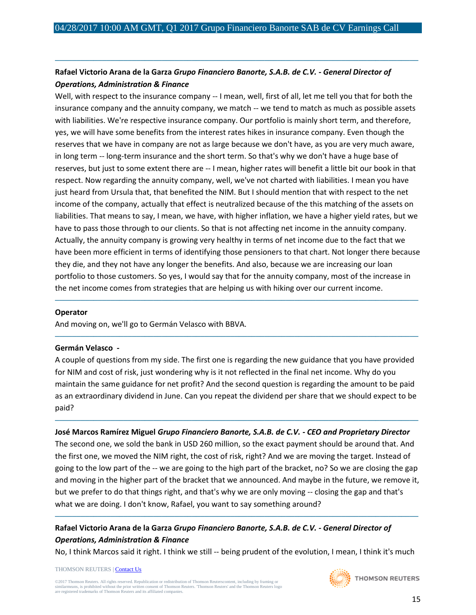## **Rafael Victorio Arana de la Garza** *Grupo Financiero Banorte, S.A.B. de C.V. - General Director of Operations, Administration & Finance*

─────────────────────────────────────────────────────────────────────────────────────

Well, with respect to the insurance company -- I mean, well, first of all, let me tell you that for both the insurance company and the annuity company, we match -- we tend to match as much as possible assets with liabilities. We're respective insurance company. Our portfolio is mainly short term, and therefore, yes, we will have some benefits from the interest rates hikes in insurance company. Even though the reserves that we have in company are not as large because we don't have, as you are very much aware, in long term -- long-term insurance and the short term. So that's why we don't have a huge base of reserves, but just to some extent there are -- I mean, higher rates will benefit a little bit our book in that respect. Now regarding the annuity company, well, we've not charted with liabilities. I mean you have just heard from Ursula that, that benefited the NIM. But I should mention that with respect to the net income of the company, actually that effect is neutralized because of the this matching of the assets on liabilities. That means to say, I mean, we have, with higher inflation, we have a higher yield rates, but we have to pass those through to our clients. So that is not affecting net income in the annuity company. Actually, the annuity company is growing very healthy in terms of net income due to the fact that we have been more efficient in terms of identifying those pensioners to that chart. Not longer there because they die, and they not have any longer the benefits. And also, because we are increasing our loan portfolio to those customers. So yes, I would say that for the annuity company, most of the increase in the net income comes from strategies that are helping us with hiking over our current income.

#### **Operator**

And moving on, we'll go to Germán Velasco with BBVA.

#### **Germán Velasco** *-*

A couple of questions from my side. The first one is regarding the new guidance that you have provided for NIM and cost of risk, just wondering why is it not reflected in the final net income. Why do you maintain the same guidance for net profit? And the second question is regarding the amount to be paid as an extraordinary dividend in June. Can you repeat the dividend per share that we should expect to be paid?

─────────────────────────────────────────────────────────────────────────────────────

─────────────────────────────────────────────────────────────────────────────────────

─────────────────────────────────────────────────────────────────────────────────────

**José Marcos Ramírez Miguel** *Grupo Financiero Banorte, S.A.B. de C.V. - CEO and Proprietary Director* The second one, we sold the bank in USD 260 million, so the exact payment should be around that. And the first one, we moved the NIM right, the cost of risk, right? And we are moving the target. Instead of going to the low part of the -- we are going to the high part of the bracket, no? So we are closing the gap and moving in the higher part of the bracket that we announced. And maybe in the future, we remove it, but we prefer to do that things right, and that's why we are only moving -- closing the gap and that's what we are doing. I don't know, Rafael, you want to say something around?

# **Rafael Victorio Arana de la Garza** *Grupo Financiero Banorte, S.A.B. de C.V. - General Director of Operations, Administration & Finance*

No, I think Marcos said it right. I think we still -- being prudent of the evolution, I mean, I think it's much

─────────────────────────────────────────────────────────────────────────────────────

THOMSON REUTERS [| Contact Us](http://financial.thomsonreuters.com/en/contact-us.html)

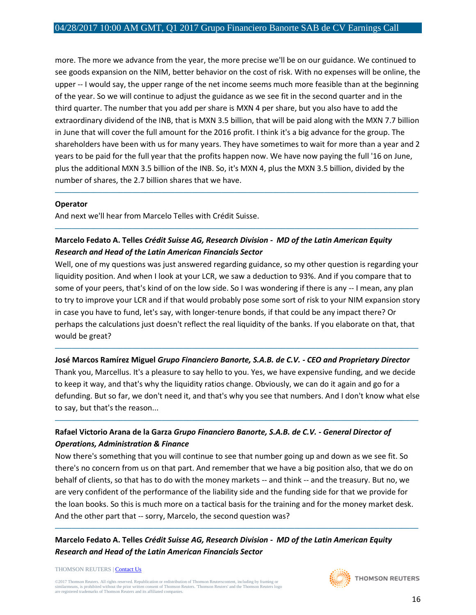more. The more we advance from the year, the more precise we'll be on our guidance. We continued to see goods expansion on the NIM, better behavior on the cost of risk. With no expenses will be online, the upper -- I would say, the upper range of the net income seems much more feasible than at the beginning of the year. So we will continue to adjust the guidance as we see fit in the second quarter and in the third quarter. The number that you add per share is MXN 4 per share, but you also have to add the extraordinary dividend of the INB, that is MXN 3.5 billion, that will be paid along with the MXN 7.7 billion in June that will cover the full amount for the 2016 profit. I think it's a big advance for the group. The shareholders have been with us for many years. They have sometimes to wait for more than a year and 2 years to be paid for the full year that the profits happen now. We have now paying the full '16 on June, plus the additional MXN 3.5 billion of the INB. So, it's MXN 4, plus the MXN 3.5 billion, divided by the number of shares, the 2.7 billion shares that we have.

─────────────────────────────────────────────────────────────────────────────────────

─────────────────────────────────────────────────────────────────────────────────────

#### **Operator**

And next we'll hear from Marcelo Telles with Crédit Suisse.

## **Marcelo Fedato A. Telles** *Crédit Suisse AG, Research Division - MD of the Latin American Equity Research and Head of the Latin American Financials Sector*

Well, one of my questions was just answered regarding guidance, so my other question is regarding your liquidity position. And when I look at your LCR, we saw a deduction to 93%. And if you compare that to some of your peers, that's kind of on the low side. So I was wondering if there is any -- I mean, any plan to try to improve your LCR and if that would probably pose some sort of risk to your NIM expansion story in case you have to fund, let's say, with longer-tenure bonds, if that could be any impact there? Or perhaps the calculations just doesn't reflect the real liquidity of the banks. If you elaborate on that, that would be great?

## ───────────────────────────────────────────────────────────────────────────────────── **José Marcos Ramírez Miguel** *Grupo Financiero Banorte, S.A.B. de C.V. - CEO and Proprietary Director*

Thank you, Marcellus. It's a pleasure to say hello to you. Yes, we have expensive funding, and we decide to keep it way, and that's why the liquidity ratios change. Obviously, we can do it again and go for a defunding. But so far, we don't need it, and that's why you see that numbers. And I don't know what else to say, but that's the reason...

─────────────────────────────────────────────────────────────────────────────────────

## **Rafael Victorio Arana de la Garza** *Grupo Financiero Banorte, S.A.B. de C.V. - General Director of Operations, Administration & Finance*

Now there's something that you will continue to see that number going up and down as we see fit. So there's no concern from us on that part. And remember that we have a big position also, that we do on behalf of clients, so that has to do with the money markets -- and think -- and the treasury. But no, we are very confident of the performance of the liability side and the funding side for that we provide for the loan books. So this is much more on a tactical basis for the training and for the money market desk. And the other part that -- sorry, Marcelo, the second question was?

─────────────────────────────────────────────────────────────────────────────────────

## **Marcelo Fedato A. Telles** *Crédit Suisse AG, Research Division - MD of the Latin American Equity Research and Head of the Latin American Financials Sector*

THOMSON REUTERS [| Contact Us](http://financial.thomsonreuters.com/en/contact-us.html)

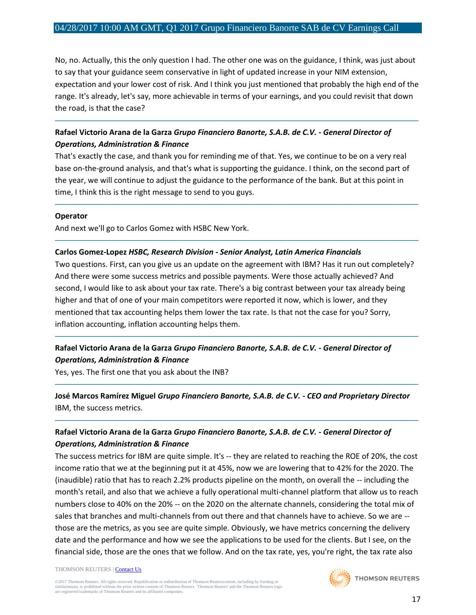No, no. Actually, this the only question I had. The other one was on the guidance, I think, was just about to say that your guidance seem conservative in light of updated increase in your NIM extension, expectation and your lower cost of risk. And I think you just mentioned that probably the high end of the range. It's already, let's say, more achievable in terms of your earnings, and you could revisit that down the road, is that the case?

─────────────────────────────────────────────────────────────────────────────────────

## **Rafael Victorio Arana de la Garza** *Grupo Financiero Banorte, S.A.B. de C.V. - General Director of Operations, Administration & Finance*

That's exactly the case, and thank you for reminding me of that. Yes, we continue to be on a very real base on-the-ground analysis, and that's what is supporting the guidance. I think, on the second part of the year, we will continue to adjust the guidance to the performance of the bank. But at this point in time, I think this is the right message to send to you guys.

─────────────────────────────────────────────────────────────────────────────────────

─────────────────────────────────────────────────────────────────────────────────────

#### **Operator**

And next we'll go to Carlos Gomez with HSBC New York.

## **Carlos Gomez-Lopez** *HSBC, Research Division - Senior Analyst, Latin America Financials*

Two questions. First, can you give us an update on the agreement with IBM? Has it run out completely? And there were some success metrics and possible payments. Were those actually achieved? And second, I would like to ask about your tax rate. There's a big contrast between your tax already being higher and that of one of your main competitors were reported it now, which is lower, and they mentioned that tax accounting helps them lower the tax rate. Is that not the case for you? Sorry, inflation accounting, inflation accounting helps them.

─────────────────────────────────────────────────────────────────────────────────────

# **Rafael Victorio Arana de la Garza** *Grupo Financiero Banorte, S.A.B. de C.V. - General Director of Operations, Administration & Finance*

Yes, yes. The first one that you ask about the INB?

## **José Marcos Ramírez Miguel** *Grupo Financiero Banorte, S.A.B. de C.V. - CEO and Proprietary Director* IBM, the success metrics.

─────────────────────────────────────────────────────────────────────────────────────

─────────────────────────────────────────────────────────────────────────────────────

## **Rafael Victorio Arana de la Garza** *Grupo Financiero Banorte, S.A.B. de C.V. - General Director of Operations, Administration & Finance*

The success metrics for IBM are quite simple. It's -- they are related to reaching the ROE of 20%, the cost income ratio that we at the beginning put it at 45%, now we are lowering that to 42% for the 2020. The (inaudible) ratio that has to reach 2.2% products pipeline on the month, on overall the -- including the month's retail, and also that we achieve a fully operational multi-channel platform that allow us to reach numbers close to 40% on the 20% -- on the 2020 on the alternate channels, considering the total mix of sales that branches and multi-channels from out there and that channels have to achieve. So we are - those are the metrics, as you see are quite simple. Obviously, we have metrics concerning the delivery date and the performance and how we see the applications to be used for the clients. But I see, on the financial side, those are the ones that we follow. And on the tax rate, yes, you're right, the tax rate also

#### THOMSON REUTERS [| Contact Us](http://financial.thomsonreuters.com/en/contact-us.html)

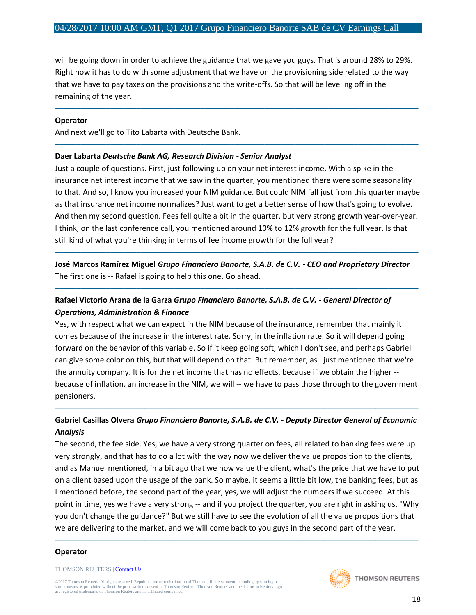will be going down in order to achieve the guidance that we gave you guys. That is around 28% to 29%. Right now it has to do with some adjustment that we have on the provisioning side related to the way that we have to pay taxes on the provisions and the write-offs. So that will be leveling off in the remaining of the year.

─────────────────────────────────────────────────────────────────────────────────────

─────────────────────────────────────────────────────────────────────────────────────

#### **Operator**

And next we'll go to Tito Labarta with Deutsche Bank.

#### **Daer Labarta** *Deutsche Bank AG, Research Division - Senior Analyst*

Just a couple of questions. First, just following up on your net interest income. With a spike in the insurance net interest income that we saw in the quarter, you mentioned there were some seasonality to that. And so, I know you increased your NIM guidance. But could NIM fall just from this quarter maybe as that insurance net income normalizes? Just want to get a better sense of how that's going to evolve. And then my second question. Fees fell quite a bit in the quarter, but very strong growth year-over-year. I think, on the last conference call, you mentioned around 10% to 12% growth for the full year. Is that still kind of what you're thinking in terms of fee income growth for the full year?

**José Marcos Ramírez Miguel** *Grupo Financiero Banorte, S.A.B. de C.V. - CEO and Proprietary Director* The first one is -- Rafael is going to help this one. Go ahead.

─────────────────────────────────────────────────────────────────────────────────────

─────────────────────────────────────────────────────────────────────────────────────

## **Rafael Victorio Arana de la Garza** *Grupo Financiero Banorte, S.A.B. de C.V. - General Director of Operations, Administration & Finance*

Yes, with respect what we can expect in the NIM because of the insurance, remember that mainly it comes because of the increase in the interest rate. Sorry, in the inflation rate. So it will depend going forward on the behavior of this variable. So if it keep going soft, which I don't see, and perhaps Gabriel can give some color on this, but that will depend on that. But remember, as I just mentioned that we're the annuity company. It is for the net income that has no effects, because if we obtain the higher - because of inflation, an increase in the NIM, we will -- we have to pass those through to the government pensioners.

## **Gabriel Casillas Olvera** *Grupo Financiero Banorte, S.A.B. de C.V. - Deputy Director General of Economic Analysis*

─────────────────────────────────────────────────────────────────────────────────────

The second, the fee side. Yes, we have a very strong quarter on fees, all related to banking fees were up very strongly, and that has to do a lot with the way now we deliver the value proposition to the clients, and as Manuel mentioned, in a bit ago that we now value the client, what's the price that we have to put on a client based upon the usage of the bank. So maybe, it seems a little bit low, the banking fees, but as I mentioned before, the second part of the year, yes, we will adjust the numbers if we succeed. At this point in time, yes we have a very strong -- and if you project the quarter, you are right in asking us, "Why you don't change the guidance?" But we still have to see the evolution of all the value propositions that we are delivering to the market, and we will come back to you guys in the second part of the year.

─────────────────────────────────────────────────────────────────────────────────────

#### **Operator**

THOMSON REUTERS [| Contact Us](http://financial.thomsonreuters.com/en/contact-us.html)